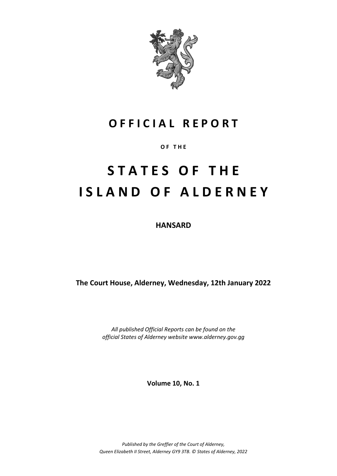

## **O F F I C I A L R E P O R T**

**O F T H E**

# **S T A T E S O F T H E I S L A N D O F A L D E R N E Y**

**HANSARD**

**The Court House, Alderney, Wednesday, 12th January 2022**

*All published Official Reports can be found on the official States of Alderney website www.alderney.gov.gg*

**Volume 10, No. 1**

*Published by the Greffier of the Court of Alderney, Queen Elizabeth II Street, Alderney GY9 3TB. © States of Alderney, 2022*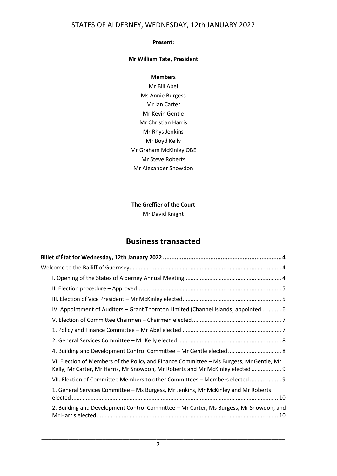## **Present:**

## **Mr William Tate, President**

## **Members**

Mr Bill Abel Ms Annie Burgess Mr Ian Carter Mr Kevin Gentle Mr Christian Harris Mr Rhys Jenkins Mr Boyd Kelly Mr Graham McKinley OBE Mr Steve Roberts Mr Alexander Snowdon

## **The Greffier of the Court** Mr David Knight

## **Business transacted**

| Billet d'État for Wednesday, 12th January 2022 …………………………………………………………………………………4                                                                                           |  |  |  |  |
|---------------------------------------------------------------------------------------------------------------------------------------------------------------------------|--|--|--|--|
|                                                                                                                                                                           |  |  |  |  |
|                                                                                                                                                                           |  |  |  |  |
|                                                                                                                                                                           |  |  |  |  |
|                                                                                                                                                                           |  |  |  |  |
| IV. Appointment of Auditors – Grant Thornton Limited (Channel Islands) appointed  6                                                                                       |  |  |  |  |
|                                                                                                                                                                           |  |  |  |  |
|                                                                                                                                                                           |  |  |  |  |
|                                                                                                                                                                           |  |  |  |  |
| 4. Building and Development Control Committee - Mr Gentle elected  8                                                                                                      |  |  |  |  |
| VI. Election of Members of the Policy and Finance Committee - Ms Burgess, Mr Gentle, Mr<br>Kelly, Mr Carter, Mr Harris, Mr Snowdon, Mr Roberts and Mr McKinley elected  9 |  |  |  |  |
| VII. Election of Committee Members to other Committees - Members elected  9                                                                                               |  |  |  |  |
| 1. General Services Committee - Ms Burgess, Mr Jenkins, Mr McKinley and Mr Roberts                                                                                        |  |  |  |  |
| 2. Building and Development Control Committee - Mr Carter, Ms Burgess, Mr Snowdon, and                                                                                    |  |  |  |  |
|                                                                                                                                                                           |  |  |  |  |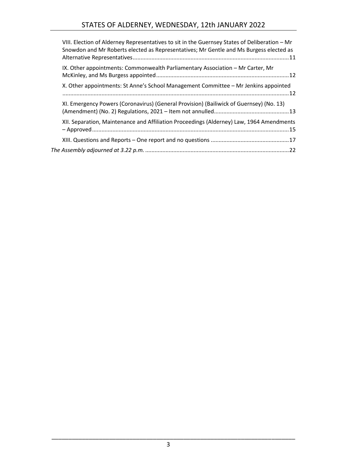| VIII. Election of Alderney Representatives to sit in the Guernsey States of Deliberation - Mr<br>Snowdon and Mr Roberts elected as Representatives; Mr Gentle and Ms Burgess elected as |  |
|-----------------------------------------------------------------------------------------------------------------------------------------------------------------------------------------|--|
| IX. Other appointments: Commonwealth Parliamentary Association - Mr Carter, Mr                                                                                                          |  |
| X. Other appointments: St Anne's School Management Committee - Mr Jenkins appointed                                                                                                     |  |
| XI. Emergency Powers (Coronavirus) (General Provision) (Bailiwick of Guernsey) (No. 13)                                                                                                 |  |
| XII. Separation, Maintenance and Affiliation Proceedings (Alderney) Law, 1964 Amendments                                                                                                |  |
|                                                                                                                                                                                         |  |
|                                                                                                                                                                                         |  |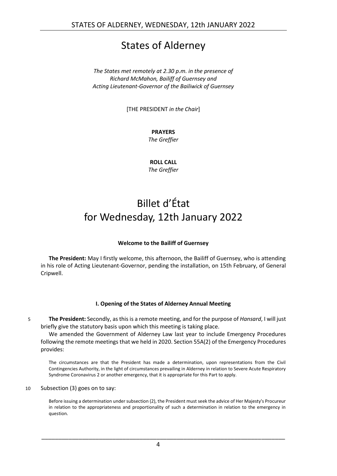## States of Alderney

*The States met remotely at 2.30 p.m. in the presence of Richard McMahon, Bailiff of Guernsey and Acting Lieutenant-Governor of the Bailiwick of Guernsey*

[THE PRESIDENT *in the Chair*]

## **PRAYERS**

*The Greffier*

**ROLL CALL** *The Greffier*

## <span id="page-3-0"></span>Billet d'État for Wednesday, 12th January 2022

## **Welcome to the Bailiff of Guernsey**

<span id="page-3-1"></span>**The President:** May I firstly welcome, this afternoon, the Bailiff of Guernsey, who is attending in his role of Acting Lieutenant-Governor, pending the installation, on 15th February, of General Cripwell.

## **I. Opening of the States of Alderney Annual Meeting**

<span id="page-3-2"></span>5 **The President:** Secondly, as this is a remote meeting, and for the purpose of *Hansard*, I will just briefly give the statutory basis upon which this meeting is taking place.

We amended the Government of Alderney Law last year to include Emergency Procedures following the remote meetings that we held in 2020. Section 55A(2) of the Emergency Procedures provides:

The circumstances are that the President has made a determination, upon representations from the Civil Contingencies Authority, in the light of circumstances prevailing in Alderney in relation to Severe Acute Respiratory Syndrome Coronavirus 2 or another emergency, that it is appropriate for this Part to apply.

## 10 Subsection (3) goes on to say:

Before issuing a determination under subsection (2), the President must seek the advice of Her Majesty's Procureur in relation to the appropriateness and proportionality of such a determination in relation to the emergency in question.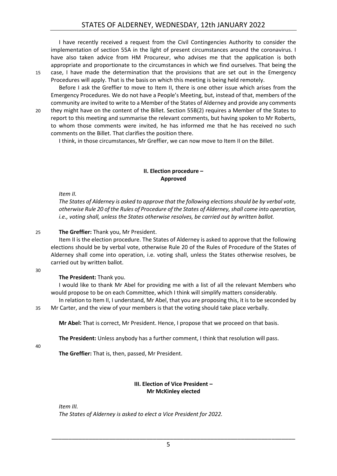I have recently received a request from the Civil Contingencies Authority to consider the implementation of section 55A in the light of present circumstances around the coronavirus. I have also taken advice from HM Procureur, who advises me that the application is both appropriate and proportionate to the circumstances in which we find ourselves. That being the 15 case, I have made the determination that the provisions that are set out in the Emergency

Procedures will apply. That is the basis on which this meeting is being held remotely. Before I ask the Greffier to move to Item II, there is one other issue which arises from the Emergency Procedures. We do not have a People's Meeting, but, instead of that, members of the community are invited to write to a Member of the States of Alderney and provide any comments

20 they might have on the content of the Billet. Section 55B(2) requires a Member of the States to report to this meeting and summarise the relevant comments, but having spoken to Mr Roberts, to whom those comments were invited, he has informed me that he has received no such comments on the Billet. That clarifies the position there.

I think, in those circumstances, Mr Greffier, we can now move to Item II on the Billet.

## **II. Election procedure – Approved**

<span id="page-4-0"></span>*Item II.*

*The States of Alderney is asked to approve that the following elections should be by verbal vote, otherwise Rule 20 of the Rules of Procedure of the States of Alderney, shall come into operation, i.e., voting shall, unless the States otherwise resolves, be carried out by written ballot.*

## 25 **The Greffier:** Thank you, Mr President.

Item II is the election procedure. The States of Alderney is asked to approve that the following elections should be by verbal vote, otherwise Rule 20 of the Rules of Procedure of the States of Alderney shall come into operation, i.e. voting shall, unless the States otherwise resolves, be carried out by written ballot.

30

## **The President:** Thank you.

I would like to thank Mr Abel for providing me with a list of all the relevant Members who would propose to be on each Committee, which I think will simplify matters considerably.

In relation to Item II, I understand, Mr Abel, that you are proposing this, it is to be seconded by 35 Mr Carter, and the view of your members is that the voting should take place verbally.

**Mr Abel:** That is correct, Mr President. Hence, I propose that we proceed on that basis.

**The President:** Unless anybody has a further comment, I think that resolution will pass.

40

**The Greffier:** That is, then, passed, Mr President.

## **III. Election of Vice President – Mr McKinley elected**

<span id="page-4-1"></span>*Item III. The States of Alderney is asked to elect a Vice President for 2022.*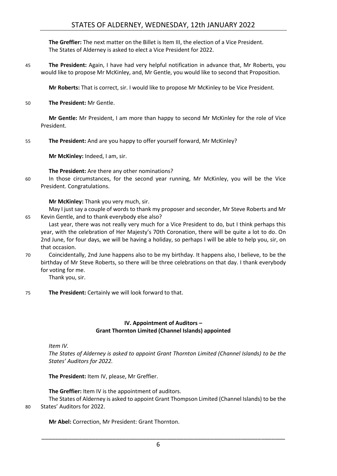## STATES OF ALDERNEY, WEDNESDAY, 12th JANUARY 2022

**The Greffier:** The next matter on the Billet is Item III, the election of a Vice President. The States of Alderney is asked to elect a Vice President for 2022.

45 **The President:** Again, I have had very helpful notification in advance that, Mr Roberts, you would like to propose Mr McKinley, and, Mr Gentle, you would like to second that Proposition.

**Mr Roberts:** That is correct, sir. I would like to propose Mr McKinley to be Vice President.

50 **The President:** Mr Gentle.

**Mr Gentle:** Mr President, I am more than happy to second Mr McKinley for the role of Vice President.

55 **The President:** And are you happy to offer yourself forward, Mr McKinley?

**Mr McKinley:** Indeed, I am, sir.

**The President:** Are there any other nominations?

60 In those circumstances, for the second year running, Mr McKinley, you will be the Vice President. Congratulations.

**Mr McKinley:** Thank you very much, sir.

May I just say a couple of words to thank my proposer and seconder, Mr Steve Roberts and Mr 65 Kevin Gentle, and to thank everybody else also?

Last year, there was not really very much for a Vice President to do, but I think perhaps this year, with the celebration of Her Majesty's 70th Coronation, there will be quite a lot to do. On 2nd June, for four days, we will be having a holiday, so perhaps I will be able to help you, sir, on that occasion.

70 Coincidentally, 2nd June happens also to be my birthday. It happens also, I believe, to be the birthday of Mr Steve Roberts, so there will be three celebrations on that day. I thank everybody for voting for me.

Thank you, sir.

75 **The President:** Certainly we will look forward to that.

## **IV. Appointment of Auditors – Grant Thornton Limited (Channel Islands) appointed**

<span id="page-5-0"></span>*Item IV.*

*The States of Alderney is asked to appoint Grant Thornton Limited (Channel Islands) to be the States' Auditors for 2022.*

**The President:** Item IV, please, Mr Greffier.

**The Greffier:** Item IV is the appointment of auditors.

The States of Alderney is asked to appoint Grant Thompson Limited (Channel Islands) to be the 80 States' Auditors for 2022.

**Mr Abel:** Correction, Mr President: Grant Thornton.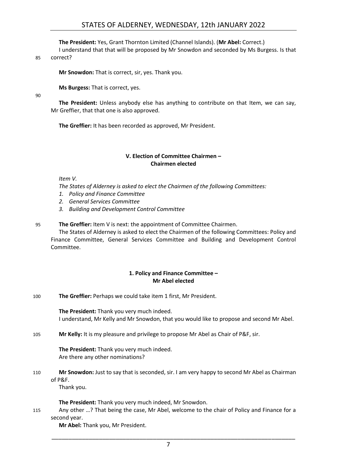## **The President:** Yes, Grant Thornton Limited (Channel Islands). (**Mr Abel:** Correct.)

I understand that that will be proposed by Mr Snowdon and seconded by Ms Burgess. Is that

#### 85 correct?

**Mr Snowdon:** That is correct, sir, yes. Thank you.

**Ms Burgess:** That is correct, yes.

90

**The President:** Unless anybody else has anything to contribute on that Item, we can say, Mr Greffier, that that one is also approved.

**The Greffier:** It has been recorded as approved, Mr President.

## **V. Election of Committee Chairmen – Chairmen elected**

<span id="page-6-0"></span>*Item V.*

*The States of Alderney is asked to elect the Chairmen of the following Committees:*

- *1. Policy and Finance Committee*
- *2. General Services Committee*
- *3. Building and Development Control Committee*
- 95 **The Greffier:** Item V is next: the appointment of Committee Chairmen.

The States of Alderney is asked to elect the Chairmen of the following Committees: Policy and Finance Committee, General Services Committee and Building and Development Control Committee.

## **1. Policy and Finance Committee – Mr Abel elected**

<span id="page-6-1"></span>100 **The Greffier:** Perhaps we could take item 1 first, Mr President.

**The President:** Thank you very much indeed. I understand, Mr Kelly and Mr Snowdon, that you would like to propose and second Mr Abel.

105 **Mr Kelly:** It is my pleasure and privilege to propose Mr Abel as Chair of P&F, sir.

**The President:** Thank you very much indeed. Are there any other nominations?

110 **Mr Snowdon:** Just to say that is seconded, sir. I am very happy to second Mr Abel as Chairman of P&F.

Thank you.

**The President:** Thank you very much indeed, Mr Snowdon.

115 Any other …? That being the case, Mr Abel, welcome to the chair of Policy and Finance for a second year.

**Mr Abel:** Thank you, Mr President.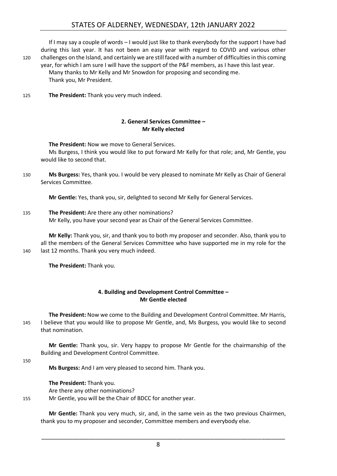If I may say a couple of words – I would just like to thank everybody for the support I have had during this last year. It has not been an easy year with regard to COVID and various other 120 challenges on the Island, and certainly we are still faced with a number of difficulties in this coming year, for which I am sure I will have the support of the P&F members, as I have this last year. Many thanks to Mr Kelly and Mr Snowdon for proposing and seconding me. Thank you, Mr President.

125 **The President:** Thank you very much indeed.

## **2. General Services Committee – Mr Kelly elected**

<span id="page-7-0"></span>**The President:** Now we move to General Services.

Ms Burgess, I think you would like to put forward Mr Kelly for that role; and, Mr Gentle, you would like to second that.

130 **Ms Burgess:** Yes, thank you. I would be very pleased to nominate Mr Kelly as Chair of General Services Committee.

**Mr Gentle:** Yes, thank you, sir, delighted to second Mr Kelly for General Services.

135 **The President:** Are there any other nominations? Mr Kelly, you have your second year as Chair of the General Services Committee.

**Mr Kelly:** Thank you, sir, and thank you to both my proposer and seconder. Also, thank you to all the members of the General Services Committee who have supported me in my role for the 140 last 12 months. Thank you very much indeed.

<span id="page-7-1"></span>**The President:** Thank you.

## **4. Building and Development Control Committee – Mr Gentle elected**

**The President:** Now we come to the Building and Development Control Committee. Mr Harris, 145 I believe that you would like to propose Mr Gentle, and, Ms Burgess, you would like to second that nomination.

**Mr Gentle:** Thank you, sir. Very happy to propose Mr Gentle for the chairmanship of the Building and Development Control Committee.

150

**Ms Burgess:** And I am very pleased to second him. Thank you.

**The President:** Thank you. Are there any other nominations? 155 Mr Gentle, you will be the Chair of BDCC for another year.

> **Mr Gentle:** Thank you very much, sir, and, in the same vein as the two previous Chairmen, thank you to my proposer and seconder, Committee members and everybody else.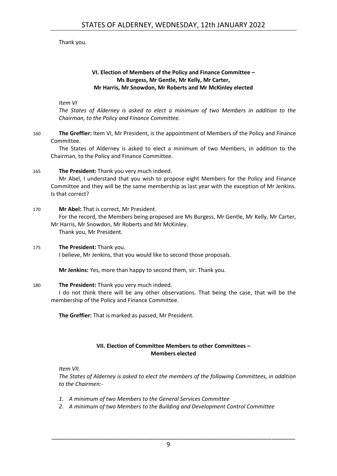## Thank you.

## **VI. Election of Members of the Policy and Finance Committee – Ms Burgess, Mr Gentle, Mr Kelly, Mr Carter, Mr Harris, Mr Snowdon, Mr Roberts and Mr McKinley elected**

## <span id="page-8-0"></span>*Item VI*

*The States of Alderney is asked to elect a minimum of two Members in addition to the Chairman, to the Policy and Finance Committee.*

160 **The Greffier:** Item VI, Mr President, is the appointment of Members of the Policy and Finance Committee.

The States of Alderney is asked to elect a minimum of two Members, in addition to the Chairman, to the Policy and Finance Committee.

## 165 **The President:** Thank you very much indeed.

Mr Abel, I understand that you wish to propose eight Members for the Policy and Finance Committee and they will be the same membership as last year with the exception of Mr Jenkins. Is that correct?

## 170 **Mr Abel:** That is correct, Mr President.

For the record, the Members being proposed are Ms Burgess, Mr Gentle, Mr Kelly, Mr Carter, Mr Harris, Mr Snowdon, Mr Roberts and Mr McKinley.

Thank you, Mr President.

## 175 **The President:** Thank you.

I believe, Mr Jenkins, that you would like to second those proposals.

**Mr Jenkins:** Yes, more than happy to second them, sir. Thank you.

## 180 **The President:** Thank you very much indeed.

I do not think there will be any other observations. That being the case, that will be the membership of the Policy and Finance Committee.

**The Greffier:** That is marked as passed, Mr President.

## **VII. Election of Committee Members to other Committees – Members elected**

<span id="page-8-1"></span>*Item VII.*

*The States of Alderney is asked to elect the members of the following Committees, in addition to the Chairmen:-*

- *1. A minimum of two Members to the General Services Committee*
- *2. A minimum of two Members to the Building and Development Control Committee*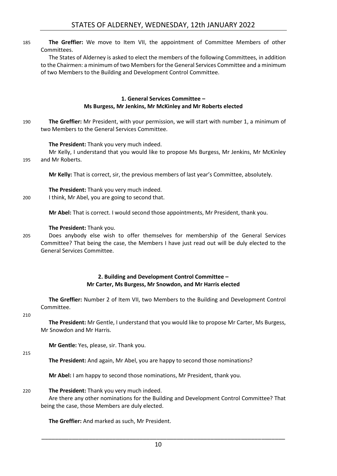185 **The Greffier:** We move to Item VII, the appointment of Committee Members of other Committees.

The States of Alderney is asked to elect the members of the following Committees, in addition to the Chairmen: a minimum of two Members for the General Services Committee and a minimum of two Members to the Building and Development Control Committee.

## **1. General Services Committee – Ms Burgess, Mr Jenkins, Mr McKinley and Mr Roberts elected**

<span id="page-9-0"></span>190 **The Greffier:** Mr President, with your permission, we will start with number 1, a minimum of two Members to the General Services Committee.

## **The President:** Thank you very much indeed.

Mr Kelly, I understand that you would like to propose Ms Burgess, Mr Jenkins, Mr McKinley 195 and Mr Roberts.

**Mr Kelly:** That is correct, sir, the previous members of last year's Committee, absolutely.

**The President:** Thank you very much indeed.

200 I think, Mr Abel, you are going to second that.

**Mr Abel:** That is correct. I would second those appointments, Mr President, thank you.

#### **The President:** Thank you.

205 Does anybody else wish to offer themselves for membership of the General Services Committee? That being the case, the Members I have just read out will be duly elected to the General Services Committee.

## **2. Building and Development Control Committee – Mr Carter, Ms Burgess, Mr Snowdon, and Mr Harris elected**

<span id="page-9-1"></span>**The Greffier:** Number 2 of Item VII, two Members to the Building and Development Control Committee.

#### 210

**The President:** Mr Gentle, I understand that you would like to propose Mr Carter, Ms Burgess, Mr Snowdon and Mr Harris.

**Mr Gentle:** Yes, please, sir. Thank you.

#### 215

**The President:** And again, Mr Abel, you are happy to second those nominations?

**Mr Abel:** I am happy to second those nominations, Mr President, thank you.

## 220 **The President:** Thank you very much indeed.

Are there any other nominations for the Building and Development Control Committee? That being the case, those Members are duly elected.

**The Greffier:** And marked as such, Mr President.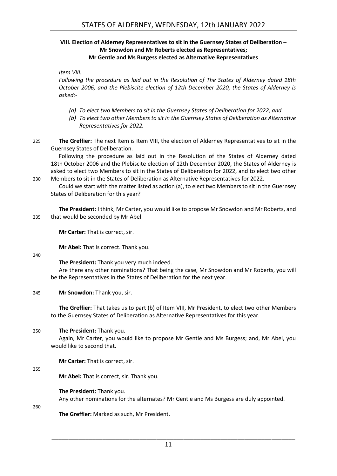## <span id="page-10-0"></span>**VIII. Election of Alderney Representatives to sit in the Guernsey States of Deliberation – Mr Snowdon and Mr Roberts elected as Representatives; Mr Gentle and Ms Burgess elected as Alternative Representatives**

## *Item VIII.*

*Following the procedure as laid out in the Resolution of The States of Alderney dated 18th October 2006, and the Plebiscite election of 12th December 2020, the States of Alderney is asked:-*

- *(a) To elect two Members to sit in the Guernsey States of Deliberation for 2022, and*
- *(b) To elect two other Members to sit in the Guernsey States of Deliberation as Alternative Representatives for 2022.*
- 225 **The Greffier:** The next Item is Item VIII, the election of Alderney Representatives to sit in the Guernsey States of Deliberation.

Following the procedure as laid out in the Resolution of the States of Alderney dated 18th October 2006 and the Plebiscite election of 12th December 2020, the States of Alderney is asked to elect two Members to sit in the States of Deliberation for 2022, and to elect two other 230 Members to sit in the States of Deliberation as Alternative Representatives for 2022.

Could we start with the matter listed as action (a), to elect two Members to sit in the Guernsey States of Deliberation for this year?

**The President:** I think, Mr Carter, you would like to propose Mr Snowdon and Mr Roberts, and 235 that would be seconded by Mr Abel.

**Mr Carter:** That is correct, sir.

**Mr Abel:** That is correct. Thank you.

240

**The President:** Thank you very much indeed.

Are there any other nominations? That being the case, Mr Snowdon and Mr Roberts, you will be the Representatives in the States of Deliberation for the next year.

## 245 **Mr Snowdon:** Thank you, sir.

**The Greffier:** That takes us to part (b) of Item VIII, Mr President, to elect two other Members to the Guernsey States of Deliberation as Alternative Representatives for this year.

## 250 **The President:** Thank you.

Again, Mr Carter, you would like to propose Mr Gentle and Ms Burgess; and, Mr Abel, you would like to second that.

**Mr Carter:** That is correct, sir.

#### 255

**Mr Abel:** That is correct, sir. Thank you.

## **The President:** Thank you.

Any other nominations for the alternates? Mr Gentle and Ms Burgess are duly appointed.

260

**The Greffier:** Marked as such, Mr President.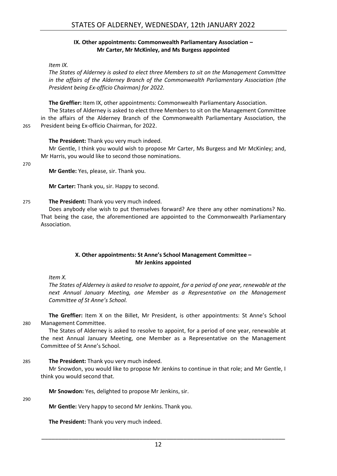## **IX. Other appointments: Commonwealth Parliamentary Association – Mr Carter, Mr McKinley, and Ms Burgess appointed**

<span id="page-11-0"></span>*Item IX.*

*The States of Alderney is asked to elect three Members to sit on the Management Committee in the affairs of the Alderney Branch of the Commonwealth Parliamentary Association (the President being Ex-officio Chairman) for 2022.*

**The Greffier:** Item IX, other appointments: Commonwealth Parliamentary Association.

The States of Alderney is asked to elect three Members to sit on the Management Committee in the affairs of the Alderney Branch of the Commonwealth Parliamentary Association, the 265 President being Ex-officio Chairman, for 2022.

**The President:** Thank you very much indeed.

Mr Gentle, I think you would wish to propose Mr Carter, Ms Burgess and Mr McKinley; and, Mr Harris, you would like to second those nominations.

270

**Mr Gentle:** Yes, please, sir. Thank you.

**Mr Carter:** Thank you, sir. Happy to second.

#### 275 **The President:** Thank you very much indeed.

Does anybody else wish to put themselves forward? Are there any other nominations? No. That being the case, the aforementioned are appointed to the Commonwealth Parliamentary Association.

## **X. Other appointments: St Anne's School Management Committee – Mr Jenkins appointed**

<span id="page-11-1"></span>*Item X.*

*The States of Alderney is asked to resolve to appoint, for a period of one year, renewable at the next Annual January Meeting, one Member as a Representative on the Management Committee of St Anne's School.*

**The Greffier:** Item X on the Billet, Mr President, is other appointments: St Anne's School 280 Management Committee.

The States of Alderney is asked to resolve to appoint, for a period of one year, renewable at the next Annual January Meeting, one Member as a Representative on the Management Committee of St Anne's School.

## 285 **The President:** Thank you very much indeed.

Mr Snowdon, you would like to propose Mr Jenkins to continue in that role; and Mr Gentle, I think you would second that.

**Mr Snowdon:** Yes, delighted to propose Mr Jenkins, sir.

290

**Mr Gentle:** Very happy to second Mr Jenkins. Thank you.

**The President:** Thank you very much indeed.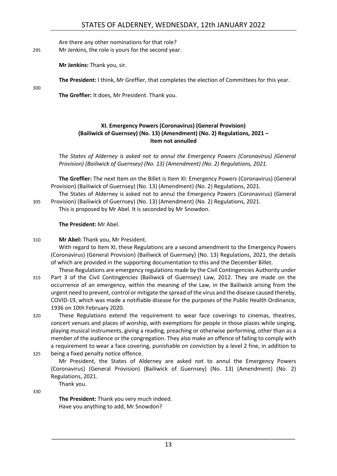Are there any other nominations for that role?

295 Mr Jenkins, the role is yours for the second year.

**Mr Jenkins:** Thank you, sir.

**The President:** I think, Mr Greffier, that completes the election of Committees for this year.

300

**The Greffier:** It does, Mr President. Thank you.

## <span id="page-12-0"></span>**XI. Emergency Powers (Coronavirus) (General Provision) (Bailiwick of Guernsey) (No. 13) (Amendment) (No. 2) Regulations, 2021 – Item not annulled**

*The States of Alderney is asked not to annul the Emergency Powers (Coronavirus) (General Provision) (Bailiwick of Guernsey) (No. 13) (Amendment) (No. 2) Regulations, 2021.*

**The Greffier:** The next Item on the Billet is Item XI: Emergency Powers (Coronavirus) (General Provision) (Bailiwick of Guernsey) (No. 13) (Amendment) (No. 2) Regulations, 2021.

The States of Alderney is asked not to annul the Emergency Powers (Coronavirus) (General 305 Provision) (Bailiwick of Guernsey) (No. 13) (Amendment) (No. 2) Regulations, 2021.

This is proposed by Mr Abel. It is seconded by Mr Snowdon.

**The President:** Mr Abel.

310 **Mr Abel:** Thank you, Mr President.

With regard to Item XI, these Regulations are a second amendment to the Emergency Powers (Coronavirus) (General Provision) (Bailiwick of Guernsey) (No. 13) Regulations, 2021, the details of which are provided in the supporting documentation to this and the December Billet.

- These Regulations are emergency regulations made by the Civil Contingencies Authority under 315 Part 3 of the Civil Contingencies (Bailiwick of Guernsey) Law, 2012. They are made on the occurrence of an emergency, within the meaning of the Law, in the Bailiwick arising from the urgent need to prevent, control or mitigate the spread of the virus and the disease caused thereby, COVID-19, which was made a notifiable disease for the purposes of the Public Health Ordinance, 1936 on 10th February 2020.
- 320 These Regulations extend the requirement to wear face coverings to cinemas, theatres, concert venues and places of worship, with exemptions for people in those places while singing, playing musical instruments, giving a reading, preaching or otherwise performing, other than as a member of the audience or the congregation. They also make an offence of failing to comply with a requirement to wear a face covering, punishable on conviction by a level 2 fine, in addition to
- 325 being a fixed penalty notice offence.

Mr President, the States of Alderney are asked not to annul the Emergency Powers (Coronavirus) (General Provision) (Bailiwick of Guernsey) (No. 13) (Amendment) (No. 2) Regulations, 2021.

Thank you.

330

**The President:** Thank you very much indeed. Have you anything to add, Mr Snowdon?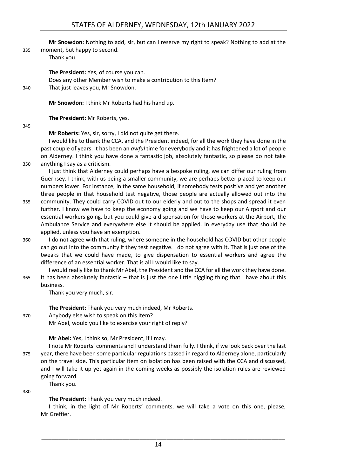**Mr Snowdon:** Nothing to add, sir, but can I reserve my right to speak? Nothing to add at the

335 moment, but happy to second.

Thank you.

**The President:** Yes, of course you can.

Does any other Member wish to make a contribution to this Item? 340 That just leaves you, Mr Snowdon.

**Mr Snowdon:** I think Mr Roberts had his hand up.

**The President:** Mr Roberts, yes.

345

**Mr Roberts:** Yes, sir, sorry, I did not quite get there.

I would like to thank the CCA, and the President indeed, for all the work they have done in the past couple of years. It has been an *awful* time for everybody and it has frightened a lot of people on Alderney. I think you have done a fantastic job, absolutely fantastic, so please do not take 350 anything I say as a criticism.

I just think that Alderney could perhaps have a bespoke ruling, we can differ our ruling from Guernsey. I think, with us being a smaller community, we are perhaps better placed to keep our numbers lower. For instance, in the same household, if somebody tests positive and yet another three people in that household test negative, those people are actually allowed out into the

- 355 community. They could carry COVID out to our elderly and out to the shops and spread it even further. I know we have to keep the economy going and we have to keep our Airport and our essential workers going, but you could give a dispensation for those workers at the Airport, the Ambulance Service and everywhere else it should be applied. In everyday use that should be applied, unless you have an exemption.
- 360 I do not agree with that ruling, where someone in the household has COVID but other people can go out into the community if they test negative. I do not agree with it. That is just one of the tweaks that we could have made, to give dispensation to essential workers and agree the difference of an essential worker. That is all I would like to say.

I would really like to thank Mr Abel, the President and the CCA for all the work they have done. 365 It has been absolutely fantastic – that is just the one little niggling thing that I have about this business.

Thank you very much, sir.

**The President:** Thank you very much indeed, Mr Roberts.

370 Anybody else wish to speak on this Item? Mr Abel, would you like to exercise your right of reply?

**Mr Abel:** Yes, I think so, Mr President, if I may.

I note Mr Roberts' comments and I understand them fully. I think, if we look back over the last 375 year, there have been some particular regulations passed in regard to Alderney alone, particularly on the travel side. This particular item on isolation has been raised with the CCA and discussed, and I will take it up yet again in the coming weeks as possibly the isolation rules are reviewed going forward. Thank you.

380

**The President:** Thank you very much indeed.

I think, in the light of Mr Roberts' comments, we will take a vote on this one, please, Mr Greffier.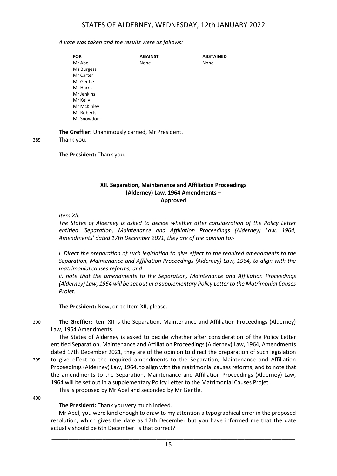#### *A vote was taken and the results were as follows:*

| <b>FOR</b>  | <b>AGAINST</b> | <b>ABSTAINED</b> |
|-------------|----------------|------------------|
| Mr Abel     | None           | None             |
| Ms Burgess  |                |                  |
| Mr Carter   |                |                  |
| Mr Gentle   |                |                  |
| Mr Harris   |                |                  |
| Mr Jenkins  |                |                  |
| Mr Kelly    |                |                  |
| Mr McKinley |                |                  |
| Mr Roberts  |                |                  |
| Mr Snowdon  |                |                  |

**The Greffier:** Unanimously carried, Mr President.

385 Thank you.

<span id="page-14-0"></span>**The President:** Thank you.

#### **XII. Separation, Maintenance and Affiliation Proceedings (Alderney) Law, 1964 Amendments – Approved**

*Item XII.*

*The States of Alderney is asked to decide whether after consideration of the Policy Letter entitled 'Separation, Maintenance and Affiliation Proceedings (Alderney) Law, 1964, Amendments' dated 17th December 2021, they are of the opinion to:-*

*i. Direct the preparation of such legislation to give effect to the required amendments to the Separation, Maintenance and Affiliation Proceedings (Alderney) Law, 1964, to align with the matrimonial causes reforms; and*

*ii. note that the amendments to the Separation, Maintenance and Affiliation Proceedings (Alderney) Law, 1964 will be set out in a supplementary Policy Letter to the Matrimonial Causes Projet.*

**The President:** Now, on to Item XII, please.

390 **The Greffier:** Item XII is the Separation, Maintenance and Affiliation Proceedings (Alderney) Law, 1964 Amendments.

The States of Alderney is asked to decide whether after consideration of the Policy Letter entitled Separation, Maintenance and Affiliation Proceedings (Alderney) Law, 1964, Amendments dated 17th December 2021, they are of the opinion to direct the preparation of such legislation 395 to give effect to the required amendments to the Separation, Maintenance and Affiliation Proceedings (Alderney) Law, 1964, to align with the matrimonial causes reforms; and to note that the amendments to the Separation, Maintenance and Affiliation Proceedings (Alderney) Law, 1964 will be set out in a supplementary Policy Letter to the Matrimonial Causes Projet.

This is proposed by Mr Abel and seconded by Mr Gentle.

400

**The President:** Thank you very much indeed.

Mr Abel, you were kind enough to draw to my attention a typographical error in the proposed resolution, which gives the date as 17th December but you have informed me that the date actually should be 6th December. Is that correct?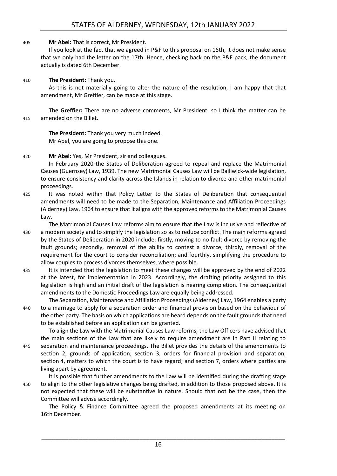## 405 **Mr Abel:** That is correct, Mr President.

If you look at the fact that we agreed in P&F to this proposal on 16th, it does not make sense that we only had the letter on the 17th. Hence, checking back on the P&F pack, the document actually is dated 6th December.

## 410 **The President:** Thank you.

As this is not materially going to alter the nature of the resolution, I am happy that that amendment, Mr Greffier, can be made at this stage.

**The Greffier:** There are no adverse comments, Mr President, so I think the matter can be 415 amended on the Billet.

**The President:** Thank you very much indeed. Mr Abel, you are going to propose this one.

## 420 **Mr Abel:** Yes, Mr President, sir and colleagues.

In February 2020 the States of Deliberation agreed to repeal and replace the Matrimonial Causes (Guernsey) Law, 1939. The new Matrimonial Causes Law will be Bailiwick-wide legislation, to ensure consistency and clarity across the Islands in relation to divorce and other matrimonial proceedings.

425 It was noted within that Policy Letter to the States of Deliberation that consequential amendments will need to be made to the Separation, Maintenance and Affiliation Proceedings (Alderney) Law, 1964 to ensure that it aligns with the approved reformsto the Matrimonial Causes Law.

The Matrimonial Causes Law reforms aim to ensure that the Law is inclusive and reflective of 430 a modern society and to simplify the legislation so as to reduce conflict. The main reforms agreed by the States of Deliberation in 2020 include: firstly, moving to no fault divorce by removing the fault grounds; secondly, removal of the ability to contest a divorce; thirdly, removal of the requirement for the court to consider reconciliation; and fourthly, simplifying the procedure to allow couples to process divorces themselves, where possible.

435 It is intended that the legislation to meet these changes will be approved by the end of 2022 at the latest, for implementation in 2023. Accordingly, the drafting priority assigned to this legislation is high and an initial draft of the legislation is nearing completion. The consequential amendments to the Domestic Proceedings Law are equally being addressed.

The Separation, Maintenance and Affiliation Proceedings (Alderney) Law, 1964 enables a party 440 to a marriage to apply for a separation order and financial provision based on the behaviour of the other party. The basis on which applications are heard depends on the fault grounds that need to be established before an application can be granted.

To align the Law with the Matrimonial Causes Law reforms, the Law Officers have advised that the main sections of the Law that are likely to require amendment are in Part II relating to 445 separation and maintenance proceedings. The Billet provides the details of the amendments to section 2, grounds of application; section 3, orders for financial provision and separation; section 4, matters to which the court is to have regard; and section 7, orders where parties are living apart by agreement.

It is possible that further amendments to the Law will be identified during the drafting stage 450 to align to the other legislative changes being drafted, in addition to those proposed above. It is not expected that these will be substantive in nature. Should that not be the case, then the Committee will advise accordingly.

The Policy & Finance Committee agreed the proposed amendments at its meeting on 16th December.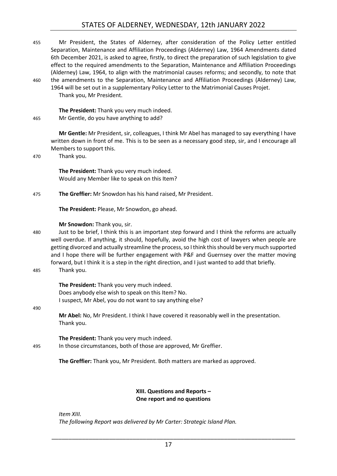## STATES OF ALDERNEY, WEDNESDAY, 12th JANUARY 2022

- 455 Mr President, the States of Alderney, after consideration of the Policy Letter entitled Separation, Maintenance and Affiliation Proceedings (Alderney) Law, 1964 Amendments dated 6th December 2021, is asked to agree, firstly, to direct the preparation of such legislation to give effect to the required amendments to the Separation, Maintenance and Affiliation Proceedings (Alderney) Law, 1964, to align with the matrimonial causes reforms; and secondly, to note that 460 the amendments to the Separation, Maintenance and Affiliation Proceedings (Alderney) Law,
	- 1964 will be set out in a supplementary Policy Letter to the Matrimonial Causes Projet. Thank you, Mr President.

**The President:** Thank you very much indeed. 465 Mr Gentle, do you have anything to add?

> **Mr Gentle:** Mr President, sir, colleagues, I think Mr Abel has managed to say everything I have written down in front of me. This is to be seen as a necessary good step, sir, and I encourage all Members to support this.

470 Thank you.

**The President:** Thank you very much indeed. Would any Member like to speak on this Item?

475 **The Greffier:** Mr Snowdon has his hand raised, Mr President.

**The President:** Please, Mr Snowdon, go ahead.

#### **Mr Snowdon:** Thank you, sir.

480 Just to be brief, I think this is an important step forward and I think the reforms are actually well overdue. If anything, it should, hopefully, avoid the high cost of lawyers when people are getting divorced and actually streamline the process, so I think this should be very much supported and I hope there will be further engagement with P&F and Guernsey over the matter moving forward, but I think it is a step in the right direction, and I just wanted to add that briefly.

485 Thank you.

**The President:** Thank you very much indeed. Does anybody else wish to speak on this Item? No. I suspect, Mr Abel, you do not want to say anything else?

490

**Mr Abel:** No, Mr President. I think I have covered it reasonably well in the presentation. Thank you.

**The President:** Thank you very much indeed. 495 In those circumstances, both of those are approved, Mr Greffier.

**The Greffier:** Thank you, Mr President. Both matters are marked as approved.

## **XIII. Questions and Reports – One report and no questions**

<span id="page-16-0"></span>*Item XIII. The following Report was delivered by Mr Carter: Strategic Island Plan.*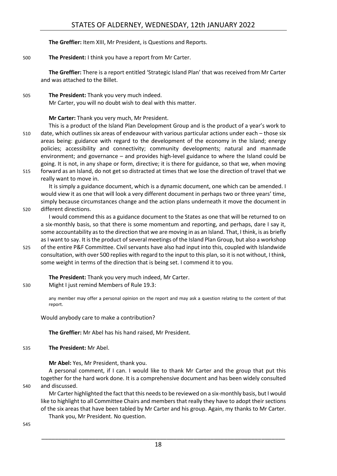**The Greffier:** Item XIII, Mr President, is Questions and Reports.

## 500 **The President:** I think you have a report from Mr Carter.

**The Greffier:** There is a report entitled 'Strategic Island Plan' that was received from Mr Carter and was attached to the Billet.

505 **The President:** Thank you very much indeed. Mr Carter, you will no doubt wish to deal with this matter.

**Mr Carter:** Thank you very much, Mr President.

This is a product of the Island Plan Development Group and is the product of a year's work to 510 date, which outlines six areas of endeavour with various particular actions under each – those six areas being: guidance with regard to the development of the economy in the Island; energy policies; accessibility and connectivity; community developments; natural and manmade environment; and governance – and provides high-level guidance to where the Island could be going. It is not, in any shape or form, directive; it is there for guidance, so that we, when moving 515 forward as an Island, do not get so distracted at times that we lose the direction of travel that we

really want to move in.

It is simply a guidance document, which is a dynamic document, one which can be amended. I would view it as one that will look a very different document in perhaps two or three years' time, simply because circumstances change and the action plans underneath it move the document in 520 different directions.

I would commend this as a guidance document to the States as one that will be returned to on a six-monthly basis, so that there is some momentum and reporting, and perhaps, dare I say it, some accountability as to the direction that we are moving in as an Island. That, I think, is as briefly as I want to say. It is the product of several meetings of the Island Plan Group, but also a workshop

525 of the entire P&F Committee. Civil servants have also had input into this, coupled with Islandwide consultation, with over 500 replies with regard to the input to this plan, so it is not without, I think, some weight in terms of the direction that is being set. I commend it to you.

**The President:** Thank you very much indeed, Mr Carter. 530 Might I just remind Members of Rule 19.3:

> any member may offer a personal opinion on the report and may ask a question relating to the content of that report.

Would anybody care to make a contribution?

**The Greffier:** Mr Abel has his hand raised, Mr President.

535 **The President:** Mr Abel.

**Mr Abel:** Yes, Mr President, thank you.

A personal comment, if I can. I would like to thank Mr Carter and the group that put this together for the hard work done. It is a comprehensive document and has been widely consulted 540 and discussed.

Mr Carter highlighted the fact that this needs to be reviewed on a six-monthly basis, but I would like to highlight to all Committee Chairs and members that really they have to adopt their sections of the six areas that have been tabled by Mr Carter and his group. Again, my thanks to Mr Carter. Thank you, Mr President. No question.

545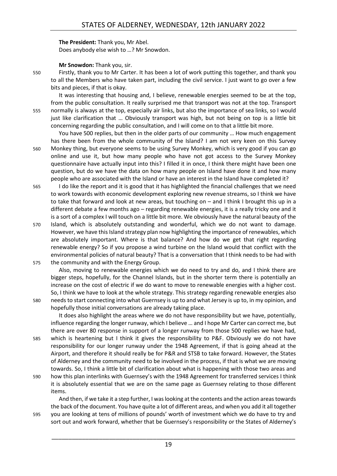## **The President:** Thank you, Mr Abel.

Does anybody else wish to …? Mr Snowdon.

## **Mr Snowdon:** Thank you, sir.

550 Firstly, thank you to Mr Carter. It has been a lot of work putting this together, and thank you to all the Members who have taken part, including the civil service. I just want to go over a few bits and pieces, if that is okay.

It was interesting that housing and, I believe, renewable energies seemed to be at the top, from the public consultation. It really surprised me that transport was not at the top. Transport 555 normally is always at the top, especially air links, but also the importance of sea links, so I would just like clarification that … Obviously transport was high, but not being on top is a little bit concerning regarding the public consultation, and I will come on to that a little bit more.

You have 500 replies, but then in the older parts of our community … How much engagement has there been from the whole community of the Island? I am not very keen on this Survey 560 Monkey thing, but everyone seems to be using Survey Monkey, which is very good if you can go online and use it, but how many people who have not got access to the Survey Monkey questionnaire have actually input into this? I filled it in once, I think there might have been one question, but do we have the data on how many people on Island have done it and how many people who are associated with the Island or have an interest in the Island have completed it?

- 565 I do like the report and it is good that it has highlighted the financial challenges that we need to work towards with economic development exploring new revenue streams, so I think we have to take that forward and look at new areas, but touching on – and I think I brought this up in a different debate a few months ago – regarding renewable energies, it is a really tricky one and it is a sort of a complex I will touch on a little bit more. We obviously have the natural beauty of the
- 570 Island, which is absolutely outstanding and wonderful, which we do not want to damage. However, we have this Island strategy plan now highlighting the importance of renewables, which are absolutely important. Where is that balance? And how do we get that right regarding renewable energy? So if you propose a wind turbine on the Island would that conflict with the environmental policies of natural beauty? That is a conversation that I think needs to be had with 575 the community and with the Energy Group.

Also, moving to renewable energies which we do need to try and do, and I think there are bigger steps, hopefully, for the Channel Islands, but in the shorter term there is potentially an increase on the cost of electric if we do want to move to renewable energies with a higher cost. So, I think we have to look at the whole strategy. This strategy regarding renewable energies also 580 needs to start connecting into what Guernsey is up to and what Jersey is up to, in my opinion, and

hopefully those initial conversations are already taking place. It does also highlight the areas where we do not have responsibility but we have, potentially, influence regarding the longer runway, which I believe … and I hope Mr Carter can correct me, but there are over 80 response in support of a longer runway from those 500 replies we have had,

- 585 which is heartening but I think it gives the responsibility to P&F. Obviously we do not have responsibility for our longer runway under the 1948 Agreement, if that is going ahead at the Airport, and therefore it should really be for P&R and STSB to take forward. However, the States of Alderney and the community need to be involved in the process, if that is what we are moving towards. So, I think a little bit of clarification about what is happening with those two areas and
- 590 how this plan interlinks with Guernsey's with the 1948 Agreement for transferred services I think it is absolutely essential that we are on the same page as Guernsey relating to those different items.

And then, if we take it a step further, I was looking at the contents and the action areas towards the back of the document. You have quite a lot of different areas, and when you add it all together 595 you are looking at tens of millions of pounds' worth of investment which we do have to try and sort out and work forward, whether that be Guernsey's responsibility or the States of Alderney's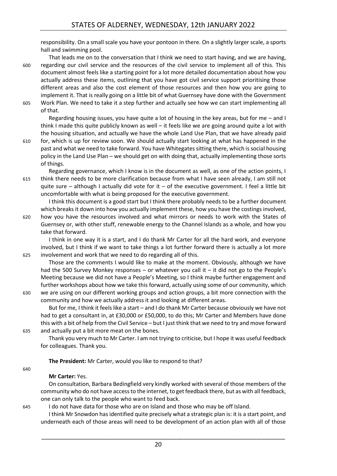responsibility. On a small scale you have your pontoon in there. On a slightly larger scale, a sports hall and swimming pool.

That leads me on to the conversation that I think we need to start having, and we are having, 600 regarding our civil service and the resources of the civil service to implement all of this. This document almost feels like a starting point for a lot more detailed documentation about how you actually address these items, outlining that you have got civil service support prioritising those different areas and also the cost element of those resources and then how you are going to implement it. That is really going on a little bit of what Guernsey have done with the Government 605 Work Plan. We need to take it a step further and actually see how we can start implementing all of that.

Regarding housing issues, you have quite a lot of housing in the key areas, but for me – and I think I made this quite publicly known as well – it feels like we are going around quite a lot with the housing situation, and actually we have the whole Land Use Plan, that we have already paid

610 for, which is up for review soon. We should actually start looking at what has happened in the past and what we need to take forward. You have Whitegatessitting there, which is social housing policy in the Land Use Plan – we should get on with doing that, actually implementing those sorts of things.

Regarding governance, which I know is in the document as well, as one of the action points, I 615 think there needs to be more clarification because from what I have seen already, I am still not quite sure – although I actually did vote for it – of the executive government. I feel a little bit uncomfortable with what is being proposed for the executive government.

I think this document is a good start but I think there probably needs to be a further document which breaks it down into how you actually implement these, how you have the costings involved,

620 how you have the resources involved and what mirrors or needs to work with the States of Guernsey or, with other stuff, renewable energy to the Channel Islands as a whole, and how you take that forward.

I think in one way it is a start, and I do thank Mr Carter for all the hard work, and everyone involved, but I think if we want to take things a lot further forward there is actually a lot more 625 involvement and work that we need to do regarding all of this.

Those are the comments I would like to make at the moment. Obviously, although we have had the 500 Survey Monkey responses – or whatever you call it – it did not go to the People's Meeting because we did not have a People's Meeting, so I think maybe further engagement and further workshops about how we take this forward, actually using some of our community, which 630 we are using on our different working groups and action groups, a bit more connection with the

community and how we actually address it and looking at different areas.

But for me, I think it feels like a start – and I do thank Mr Carter because obviously we have not had to get a consultant in, at £30,000 or £50,000, to do this; Mr Carter and Members have done this with a bit of help from the Civil Service – but I just think that we need to try and move forward 635 and actually put a bit more meat on the bones.

Thank you very much to Mr Carter. I am not trying to criticise, but I hope it was useful feedback for colleagues. Thank you.

**The President:** Mr Carter, would you like to respond to that?

## 640

## **Mr Carter:** Yes.

On consultation, Barbara Bedingfield very kindly worked with several of those members of the community who do not have access to the internet, to get feedback there, but as with all feedback, one can only talk to the people who want to feed back.

645 I do not have data for those who are on Island and those who may be off Island.

I think Mr Snowdon has identified quite precisely what a strategic plan is: it is a start point, and underneath each of those areas will need to be development of an action plan with all of those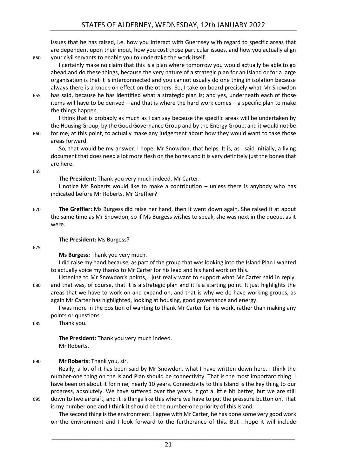issues that he has raised, i.e. how you interact with Guernsey with regard to specific areas that are dependent upon their input, how you cost those particular issues, and how you actually align 650 your civil servants to enable you to undertake the work itself.

I certainly make no claim that this is a plan where tomorrow you would actually be able to go ahead and do these things, because the very nature of a strategic plan for an Island or for a large organisation is that it is interconnected and you cannot usually do one thing in isolation because always there is a knock-on effect on the others. So, I take on board precisely what Mr Snowdon 655 has said, because he has identified what a strategic plan is; and yes, underneath each of those

items will have to be derived – and that is where the hard work comes – a specific plan to make the things happen.

I think that is probably as much as I can say because the specific areas will be undertaken by the Housing Group, by the Good Governance Group and by the Energy Group, and it would not be 660 for me, at this point, to actually make any judgement about how they would want to take those areas forward.

So, that would be my answer. I hope, Mr Snowdon, that helps. It is, as I said initially, a living document that does need a lot more flesh on the bones and it is very definitely just the bones that are here.

665

## **The President:** Thank you very much indeed, Mr Carter.

I notice Mr Roberts would like to make a contribution – unless there is anybody who has indicated before Mr Roberts, Mr Greffier?

670 **The Greffier:** Ms Burgess did raise her hand, then it went down again. She raised it at about the same time as Mr Snowdon, so if Ms Burgess wishes to speak, she was next in the queue, as it were.

## **The President:** Ms Burgess?

675

**Ms Burgess:** Thank you very much.

I did raise my hand because, as part of the group that was looking into the Island Plan I wanted to actually voice my thanks to Mr Carter for his lead and his hard work on this.

Listening to Mr Snowdon's points, I just really want to support what Mr Carter said in reply, 680 and that was, of course, that it is a strategic plan and it is a starting point. It just highlights the areas that we have to work on and expand on, and that is why we do have working groups, as again Mr Carter has highlighted, looking at housing, good governance and energy.

I was more in the position of wanting to thank Mr Carter for his work, rather than making any points or questions.

685 Thank you.

**The President:** Thank you very much indeed. Mr Roberts.

## 690 **Mr Roberts:** Thank you, sir.

Really, a lot of it has been said by Mr Snowdon, what I have written down here. I think the number-one thing on the Island Plan should be connectivity. That is the most important thing. I have been on about it for nine, nearly 10 years. Connectivity to this Island is the key thing to our progress, absolutely. We have suffered over the years. It got a little bit better, but we are still 695 down to two aircraft, and it is things like this where we have to put the pressure button on. That is my number one and I think it should be the number-one priority of this Island.

The second thing is the environment. I agree with Mr Carter, he has done some very good work on the environment and I look forward to the furtherance of this. But I hope it will include